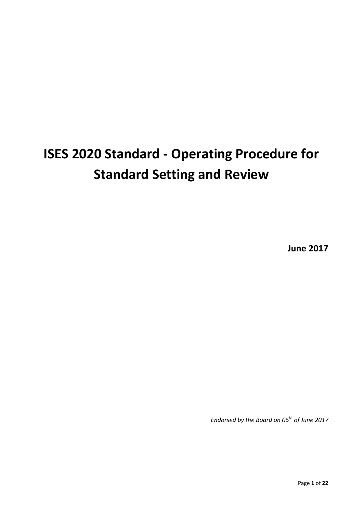# **ISES 2020 Standard - Operating Procedure for Standard Setting and Review**

**June 2017**

*Endorsed by the Board on 06th of June 2017*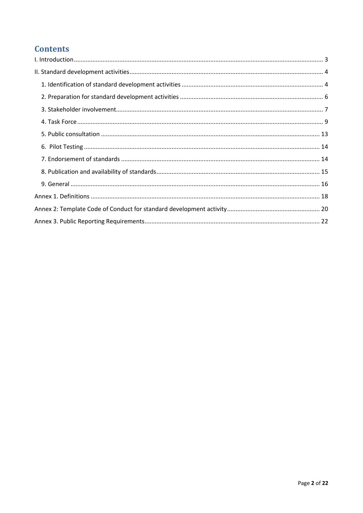# **Contents**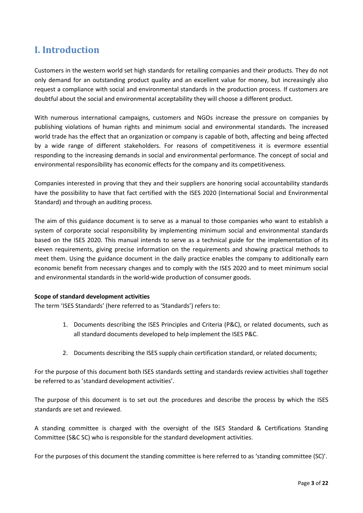# <span id="page-2-0"></span>**I. Introduction**

Customers in the western world set high standards for retailing companies and their products. They do not only demand for an outstanding product quality and an excellent value for money, but increasingly also request a compliance with social and environmental standards in the production process. If customers are doubtful about the social and environmental acceptability they will choose a different product.

With numerous international campaigns, customers and NGOs increase the pressure on companies by publishing violations of human rights and minimum social and environmental standards. The increased world trade has the effect that an organization or company is capable of both, affecting and being affected by a wide range of different stakeholders. For reasons of competitiveness it is evermore essential responding to the increasing demands in social and environmental performance. The concept of social and environmental responsibility has economic effects for the company and its competitiveness.

Companies interested in proving that they and their suppliers are honoring social accountability standards have the possibility to have that fact certified with the ISES 2020 (International Social and Environmental Standard) and through an auditing process.

The aim of this guidance document is to serve as a manual to those companies who want to establish a system of corporate social responsibility by implementing minimum social and environmental standards based on the ISES 2020. This manual intends to serve as a technical guide for the implementation of its eleven requirements, giving precise information on the requirements and showing practical methods to meet them. Using the guidance document in the daily practice enables the company to additionally earn economic benefit from necessary changes and to comply with the ISES 2020 and to meet minimum social and environmental standards in the world-wide production of consumer goods.

#### **Scope of standard development activities**

The term 'ISES Standards' (here referred to as 'Standards') refers to:

- 1. Documents describing the ISES Principles and Criteria (P&C), or related documents, such as all standard documents developed to help implement the ISES P&C.
- 2. Documents describing the ISES supply chain certification standard, or related documents;

For the purpose of this document both ISES standards setting and standards review activities shall together be referred to as 'standard development activities'.

The purpose of this document is to set out the procedures and describe the process by which the ISES standards are set and reviewed.

A standing committee is charged with the oversight of the ISES Standard & Certifications Standing Committee (S&C SC) who is responsible for the standard development activities.

For the purposes of this document the standing committee is here referred to as 'standing committee (SC)'.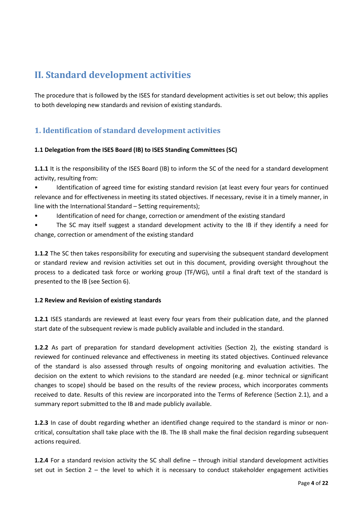# <span id="page-3-0"></span>**II. Standard development activities**

The procedure that is followed by the ISES for standard development activities is set out below; this applies to both developing new standards and revision of existing standards.

# <span id="page-3-1"></span>**1. Identification of standard development activities**

### **1.1 Delegation from the ISES Board (IB) to ISES Standing Committees (SC)**

**1.1.1** It is the responsibility of the ISES Board (IB) to inform the SC of the need for a standard development activity, resulting from:

• Identification of agreed time for existing standard revision (at least every four years for continued relevance and for effectiveness in meeting its stated objectives. If necessary, revise it in a timely manner, in line with the International Standard – Setting requirements);

• Identification of need for change, correction or amendment of the existing standard

• The SC may itself suggest a standard development activity to the IB if they identify a need for change, correction or amendment of the existing standard

**1.1.2** The SC then takes responsibility for executing and supervising the subsequent standard development or standard review and revision activities set out in this document, providing oversight throughout the process to a dedicated task force or working group (TF/WG), until a final draft text of the standard is presented to the IB (see Section 6).

#### **1.2 Review and Revision of existing standards**

**1.2.1** ISES standards are reviewed at least every four years from their publication date, and the planned start date of the subsequent review is made publicly available and included in the standard.

**1.2.2** As part of preparation for standard development activities (Section 2), the existing standard is reviewed for continued relevance and effectiveness in meeting its stated objectives. Continued relevance of the standard is also assessed through results of ongoing monitoring and evaluation activities. The decision on the extent to which revisions to the standard are needed (e.g. minor technical or significant changes to scope) should be based on the results of the review process, which incorporates comments received to date. Results of this review are incorporated into the Terms of Reference (Section 2.1), and a summary report submitted to the IB and made publicly available.

**1.2.3** In case of doubt regarding whether an identified change required to the standard is minor or noncritical, consultation shall take place with the IB. The IB shall make the final decision regarding subsequent actions required.

**1.2.4** For a standard revision activity the SC shall define – through initial standard development activities set out in Section 2 – the level to which it is necessary to conduct stakeholder engagement activities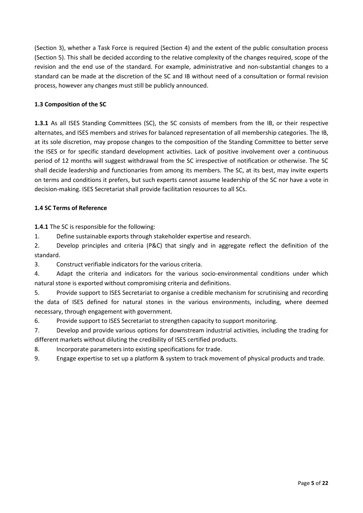(Section 3), whether a Task Force is required (Section 4) and the extent of the public consultation process (Section 5). This shall be decided according to the relative complexity of the changes required, scope of the revision and the end use of the standard. For example, administrative and non-substantial changes to a standard can be made at the discretion of the SC and IB without need of a consultation or formal revision process, however any changes must still be publicly announced.

### **1.3 Composition of the SC**

**1.3.1** As all ISES Standing Committees (SC), the SC consists of members from the IB, or their respective alternates, and ISES members and strives for balanced representation of all membership categories. The IB, at its sole discretion, may propose changes to the composition of the Standing Committee to better serve the ISES or for specific standard development activities. Lack of positive involvement over a continuous period of 12 months will suggest withdrawal from the SC irrespective of notification or otherwise. The SC shall decide leadership and functionaries from among its members. The SC, at its best, may invite experts on terms and conditions it prefers, but such experts cannot assume leadership of the SC nor have a vote in decision-making. ISES Secretariat shall provide facilitation resources to all SCs.

#### **1.4 SC Terms of Reference**

**1.4.1** The SC is responsible for the following:

1. Define sustainable exports through stakeholder expertise and research.

2. Develop principles and criteria (P&C) that singly and in aggregate reflect the definition of the standard.

3. Construct verifiable indicators for the various criteria.

4. Adapt the criteria and indicators for the various socio-environmental conditions under which natural stone is exported without compromising criteria and definitions.

5. Provide support to ISES Secretariat to organise a credible mechanism for scrutinising and recording the data of ISES defined for natural stones in the various environments, including, where deemed necessary, through engagement with government.

6. Provide support to ISES Secretariat to strengthen capacity to support monitoring.

7. Develop and provide various options for downstream industrial activities, including the trading for different markets without diluting the credibility of ISES certified products.

8. Incorporate parameters into existing specifications for trade.

9. Engage expertise to set up a platform & system to track movement of physical products and trade.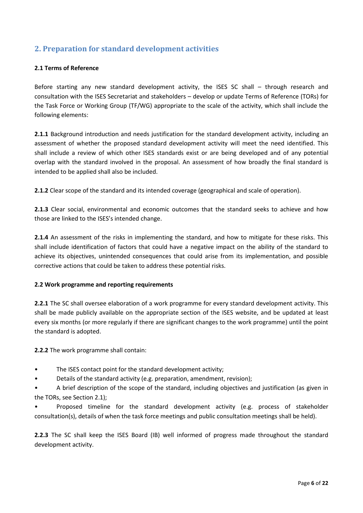# <span id="page-5-0"></span>**2. Preparation for standard development activities**

#### **2.1 Terms of Reference**

Before starting any new standard development activity, the ISES SC shall – through research and consultation with the ISES Secretariat and stakeholders – develop or update Terms of Reference (TORs) for the Task Force or Working Group (TF/WG) appropriate to the scale of the activity, which shall include the following elements:

**2.1.1** Background introduction and needs justification for the standard development activity, including an assessment of whether the proposed standard development activity will meet the need identified. This shall include a review of which other ISES standards exist or are being developed and of any potential overlap with the standard involved in the proposal. An assessment of how broadly the final standard is intended to be applied shall also be included.

**2.1.2** Clear scope of the standard and its intended coverage (geographical and scale of operation).

**2.1.3** Clear social, environmental and economic outcomes that the standard seeks to achieve and how those are linked to the ISES's intended change.

**2.1.4** An assessment of the risks in implementing the standard, and how to mitigate for these risks. This shall include identification of factors that could have a negative impact on the ability of the standard to achieve its objectives, unintended consequences that could arise from its implementation, and possible corrective actions that could be taken to address these potential risks.

#### **2.2 Work programme and reporting requirements**

**2.2.1** The SC shall oversee elaboration of a work programme for every standard development activity. This shall be made publicly available on the appropriate section of the ISES website, and be updated at least every six months (or more regularly if there are significant changes to the work programme) until the point the standard is adopted.

**2.2.2** The work programme shall contain:

- The ISES contact point for the standard development activity;
- Details of the standard activity (e.g. preparation, amendment, revision);

• A brief description of the scope of the standard, including objectives and justification (as given in the TORs, see Section 2.1);

• Proposed timeline for the standard development activity (e.g. process of stakeholder consultation(s), details of when the task force meetings and public consultation meetings shall be held).

**2.2.3** The SC shall keep the ISES Board (IB) well informed of progress made throughout the standard development activity.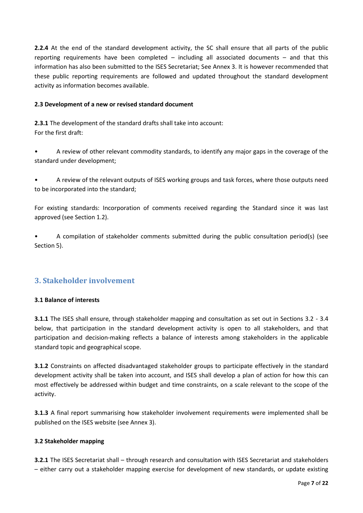**2.2.4** At the end of the standard development activity, the SC shall ensure that all parts of the public reporting requirements have been completed – including all associated documents – and that this information has also been submitted to the ISES Secretariat; See Annex 3. It is however recommended that these public reporting requirements are followed and updated throughout the standard development activity as information becomes available.

#### **2.3 Development of a new or revised standard document**

**2.3.1** The development of the standard drafts shall take into account: For the first draft:

• A review of other relevant commodity standards, to identify any major gaps in the coverage of the standard under development;

• A review of the relevant outputs of ISES working groups and task forces, where those outputs need to be incorporated into the standard;

For existing standards: Incorporation of comments received regarding the Standard since it was last approved (see Section 1.2).

• A compilation of stakeholder comments submitted during the public consultation period(s) (see Section 5).

### <span id="page-6-0"></span>**3. Stakeholder involvement**

#### **3.1 Balance of interests**

**3.1.1** The ISES shall ensure, through stakeholder mapping and consultation as set out in Sections 3.2 - 3.4 below, that participation in the standard development activity is open to all stakeholders, and that participation and decision-making reflects a balance of interests among stakeholders in the applicable standard topic and geographical scope.

**3.1.2** Constraints on affected disadvantaged stakeholder groups to participate effectively in the standard development activity shall be taken into account, and ISES shall develop a plan of action for how this can most effectively be addressed within budget and time constraints, on a scale relevant to the scope of the activity.

**3.1.3** A final report summarising how stakeholder involvement requirements were implemented shall be published on the ISES website (see Annex 3).

#### **3.2 Stakeholder mapping**

**3.2.1** The ISES Secretariat shall – through research and consultation with ISES Secretariat and stakeholders – either carry out a stakeholder mapping exercise for development of new standards, or update existing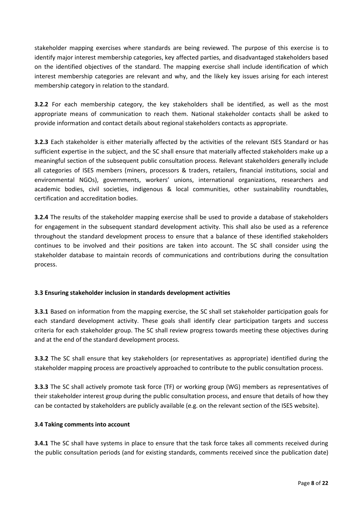stakeholder mapping exercises where standards are being reviewed. The purpose of this exercise is to identify major interest membership categories, key affected parties, and disadvantaged stakeholders based on the identified objectives of the standard. The mapping exercise shall include identification of which interest membership categories are relevant and why, and the likely key issues arising for each interest membership category in relation to the standard.

**3.2.2** For each membership category, the key stakeholders shall be identified, as well as the most appropriate means of communication to reach them. National stakeholder contacts shall be asked to provide information and contact details about regional stakeholders contacts as appropriate.

**3.2.3** Each stakeholder is either materially affected by the activities of the relevant ISES Standard or has sufficient expertise in the subject, and the SC shall ensure that materially affected stakeholders make up a meaningful section of the subsequent public consultation process. Relevant stakeholders generally include all categories of ISES members (miners, processors & traders, retailers, financial institutions, social and environmental NGOs), governments, workers' unions, international organizations, researchers and academic bodies, civil societies, indigenous & local communities, other sustainability roundtables, certification and accreditation bodies.

**3.2.4** The results of the stakeholder mapping exercise shall be used to provide a database of stakeholders for engagement in the subsequent standard development activity. This shall also be used as a reference throughout the standard development process to ensure that a balance of these identified stakeholders continues to be involved and their positions are taken into account. The SC shall consider using the stakeholder database to maintain records of communications and contributions during the consultation process.

#### **3.3 Ensuring stakeholder inclusion in standards development activities**

**3.3.1** Based on information from the mapping exercise, the SC shall set stakeholder participation goals for each standard development activity. These goals shall identify clear participation targets and success criteria for each stakeholder group. The SC shall review progress towards meeting these objectives during and at the end of the standard development process.

**3.3.2** The SC shall ensure that key stakeholders (or representatives as appropriate) identified during the stakeholder mapping process are proactively approached to contribute to the public consultation process.

**3.3.3** The SC shall actively promote task force (TF) or working group (WG) members as representatives of their stakeholder interest group during the public consultation process, and ensure that details of how they can be contacted by stakeholders are publicly available (e.g. on the relevant section of the ISES website).

#### **3.4 Taking comments into account**

**3.4.1** The SC shall have systems in place to ensure that the task force takes all comments received during the public consultation periods (and for existing standards, comments received since the publication date)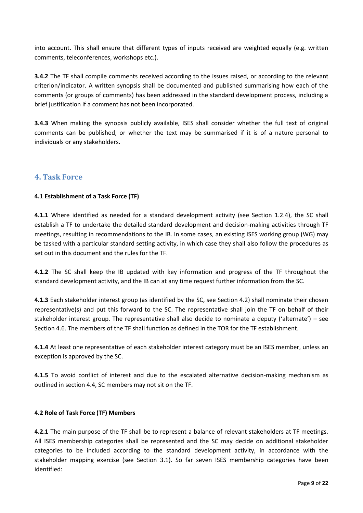into account. This shall ensure that different types of inputs received are weighted equally (e.g. written comments, teleconferences, workshops etc.).

**3.4.2** The TF shall compile comments received according to the issues raised, or according to the relevant criterion/indicator. A written synopsis shall be documented and published summarising how each of the comments (or groups of comments) has been addressed in the standard development process, including a brief justification if a comment has not been incorporated.

**3.4.3** When making the synopsis publicly available, ISES shall consider whether the full text of original comments can be published, or whether the text may be summarised if it is of a nature personal to individuals or any stakeholders.

### <span id="page-8-0"></span>**4. Task Force**

#### **4.1 Establishment of a Task Force (TF)**

**4.1.1** Where identified as needed for a standard development activity (see Section 1.2.4), the SC shall establish a TF to undertake the detailed standard development and decision-making activities through TF meetings, resulting in recommendations to the IB. In some cases, an existing ISES working group (WG) may be tasked with a particular standard setting activity, in which case they shall also follow the procedures as set out in this document and the rules for the TF.

**4.1.2** The SC shall keep the IB updated with key information and progress of the TF throughout the standard development activity, and the IB can at any time request further information from the SC.

**4.1.3** Each stakeholder interest group (as identified by the SC, see Section 4.2) shall nominate their chosen representative(s) and put this forward to the SC. The representative shall join the TF on behalf of their stakeholder interest group. The representative shall also decide to nominate a deputy ('alternate') – see Section 4.6. The members of the TF shall function as defined in the TOR for the TF establishment.

**4.1.4** At least one representative of each stakeholder interest category must be an ISES member, unless an exception is approved by the SC.

**4.1.5** To avoid conflict of interest and due to the escalated alternative decision-making mechanism as outlined in section 4.4, SC members may not sit on the TF.

#### **4.2 Role of Task Force (TF) Members**

**4.2.1** The main purpose of the TF shall be to represent a balance of relevant stakeholders at TF meetings. All ISES membership categories shall be represented and the SC may decide on additional stakeholder categories to be included according to the standard development activity, in accordance with the stakeholder mapping exercise (see Section 3.1). So far seven ISES membership categories have been identified: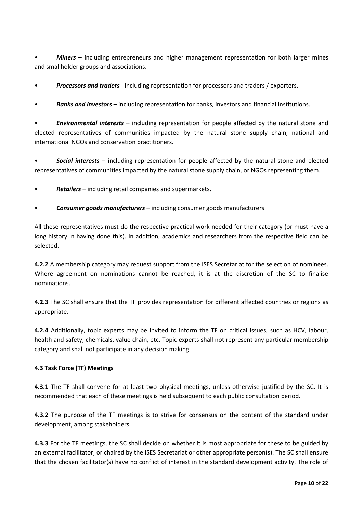• *Miners* – including entrepreneurs and higher management representation for both larger mines and smallholder groups and associations.

• *Processors and traders* - including representation for processors and traders / exporters.

• *Banks and investors* – including representation for banks, investors and financial institutions.

• *Environmental interests* – including representation for people affected by the natural stone and elected representatives of communities impacted by the natural stone supply chain, national and international NGOs and conservation practitioners.

• *Social interests* – including representation for people affected by the natural stone and elected representatives of communities impacted by the natural stone supply chain, or NGOs representing them.

- *Retailers*  including retail companies and supermarkets.
- *Consumer goods manufacturers*  including consumer goods manufacturers.

All these representatives must do the respective practical work needed for their category (or must have a long history in having done this). In addition, academics and researchers from the respective field can be selected.

**4.2.2** A membership category may request support from the ISES Secretariat for the selection of nominees. Where agreement on nominations cannot be reached, it is at the discretion of the SC to finalise nominations.

**4.2.3** The SC shall ensure that the TF provides representation for different affected countries or regions as appropriate.

**4.2.4** Additionally, topic experts may be invited to inform the TF on critical issues, such as HCV, labour, health and safety, chemicals, value chain, etc. Topic experts shall not represent any particular membership category and shall not participate in any decision making.

#### **4.3 Task Force (TF) Meetings**

**4.3.1** The TF shall convene for at least two physical meetings, unless otherwise justified by the SC. It is recommended that each of these meetings is held subsequent to each public consultation period.

**4.3.2** The purpose of the TF meetings is to strive for consensus on the content of the standard under development, among stakeholders.

**4.3.3** For the TF meetings, the SC shall decide on whether it is most appropriate for these to be guided by an external facilitator, or chaired by the ISES Secretariat or other appropriate person(s). The SC shall ensure that the chosen facilitator(s) have no conflict of interest in the standard development activity. The role of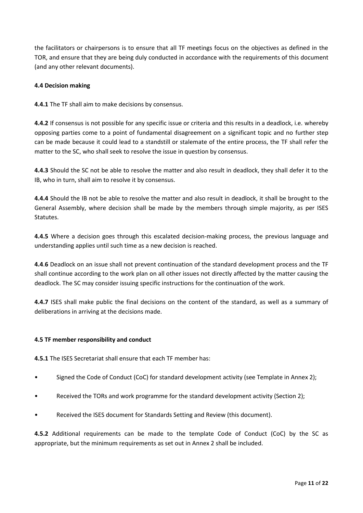the facilitators or chairpersons is to ensure that all TF meetings focus on the objectives as defined in the TOR, and ensure that they are being duly conducted in accordance with the requirements of this document (and any other relevant documents).

#### **4.4 Decision making**

**4.4.1** The TF shall aim to make decisions by consensus.

**4.4.2** If consensus is not possible for any specific issue or criteria and this results in a deadlock, i.e. whereby opposing parties come to a point of fundamental disagreement on a significant topic and no further step can be made because it could lead to a standstill or stalemate of the entire process, the TF shall refer the matter to the SC, who shall seek to resolve the issue in question by consensus.

**4.4.3** Should the SC not be able to resolve the matter and also result in deadlock, they shall defer it to the IB, who in turn, shall aim to resolve it by consensus.

**4.4.4** Should the IB not be able to resolve the matter and also result in deadlock, it shall be brought to the General Assembly, where decision shall be made by the members through simple majority, as per ISES Statutes.

**4.4.5** Where a decision goes through this escalated decision-making process, the previous language and understanding applies until such time as a new decision is reached.

**4.4**.**6** Deadlock on an issue shall not prevent continuation of the standard development process and the TF shall continue according to the work plan on all other issues not directly affected by the matter causing the deadlock. The SC may consider issuing specific instructions for the continuation of the work.

**4.4.7** ISES shall make public the final decisions on the content of the standard, as well as a summary of deliberations in arriving at the decisions made.

#### **4.5 TF member responsibility and conduct**

**4.5.1** The ISES Secretariat shall ensure that each TF member has:

- Signed the Code of Conduct (CoC) for standard development activity (see Template in Annex 2);
- Received the TORs and work programme for the standard development activity (Section 2);
- Received the ISES document for Standards Setting and Review (this document).

**4.5.2** Additional requirements can be made to the template Code of Conduct (CoC) by the SC as appropriate, but the minimum requirements as set out in Annex 2 shall be included.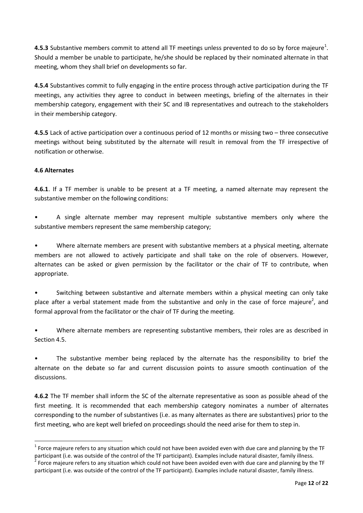**4.5.3** Substantive members commit to attend all TF meetings unless prevented to do so by force majeure<sup>1</sup>. Should a member be unable to participate, he/she should be replaced by their nominated alternate in that meeting, whom they shall brief on developments so far.

**4.5.4** Substantives commit to fully engaging in the entire process through active participation during the TF meetings, any activities they agree to conduct in between meetings, briefing of the alternates in their membership category, engagement with their SC and IB representatives and outreach to the stakeholders in their membership category.

**4.5.5** Lack of active participation over a continuous period of 12 months or missing two – three consecutive meetings without being substituted by the alternate will result in removal from the TF irrespective of notification or otherwise.

#### **4.6 Alternates**

 $\overline{\phantom{a}}$ 

**4.6.1**. If a TF member is unable to be present at a TF meeting, a named alternate may represent the substantive member on the following conditions:

• A single alternate member may represent multiple substantive members only where the substantive members represent the same membership category;

• Where alternate members are present with substantive members at a physical meeting, alternate members are not allowed to actively participate and shall take on the role of observers. However, alternates can be asked or given permission by the facilitator or the chair of TF to contribute, when appropriate.

• Switching between substantive and alternate members within a physical meeting can only take place after a verbal statement made from the substantive and only in the case of force majeure<sup>2</sup>, and formal approval from the facilitator or the chair of TF during the meeting.

• Where alternate members are representing substantive members, their roles are as described in Section 4.5.

The substantive member being replaced by the alternate has the responsibility to brief the alternate on the debate so far and current discussion points to assure smooth continuation of the discussions.

**4.6.2** The TF member shall inform the SC of the alternate representative as soon as possible ahead of the first meeting. It is recommended that each membership category nominates a number of alternates corresponding to the number of substantives (i.e. as many alternates as there are substantives) prior to the first meeting, who are kept well briefed on proceedings should the need arise for them to step in.

<sup>&</sup>lt;sup>1</sup> Force majeure refers to any situation which could not have been avoided even with due care and planning by the TF participant (i.e. was outside of the control of the TF participant). Examples include natural disaster, family illness.

 $^2$  Force majeure refers to any situation which could not have been avoided even with due care and planning by the TF participant (i.e. was outside of the control of the TF participant). Examples include natural disaster, family illness.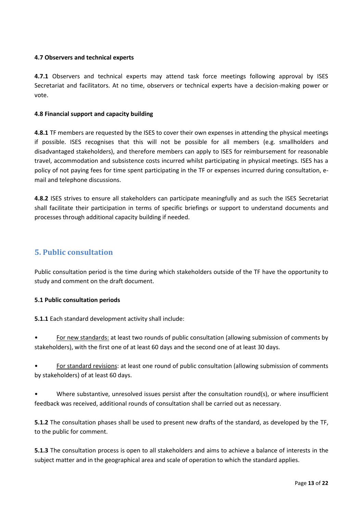#### **4.7 Observers and technical experts**

**4.7.1** Observers and technical experts may attend task force meetings following approval by ISES Secretariat and facilitators. At no time, observers or technical experts have a decision-making power or vote.

#### **4.8 Financial support and capacity building**

**4.8.1** TF members are requested by the ISES to cover their own expenses in attending the physical meetings if possible. ISES recognises that this will not be possible for all members (e.g. smallholders and disadvantaged stakeholders), and therefore members can apply to ISES for reimbursement for reasonable travel, accommodation and subsistence costs incurred whilst participating in physical meetings. ISES has a policy of not paying fees for time spent participating in the TF or expenses incurred during consultation, email and telephone discussions.

**4.8.2** ISES strives to ensure all stakeholders can participate meaningfully and as such the ISES Secretariat shall facilitate their participation in terms of specific briefings or support to understand documents and processes through additional capacity building if needed.

### <span id="page-12-0"></span>**5. Public consultation**

Public consultation period is the time during which stakeholders outside of the TF have the opportunity to study and comment on the draft document.

#### **5.1 Public consultation periods**

**5.1.1** Each standard development activity shall include:

• For new standards: at least two rounds of public consultation (allowing submission of comments by stakeholders), with the first one of at least 60 days and the second one of at least 30 days.

• For standard revisions: at least one round of public consultation (allowing submission of comments by stakeholders) of at least 60 days.

• Where substantive, unresolved issues persist after the consultation round(s), or where insufficient feedback was received, additional rounds of consultation shall be carried out as necessary.

**5.1.2** The consultation phases shall be used to present new drafts of the standard, as developed by the TF, to the public for comment.

**5.1.3** The consultation process is open to all stakeholders and aims to achieve a balance of interests in the subject matter and in the geographical area and scale of operation to which the standard applies.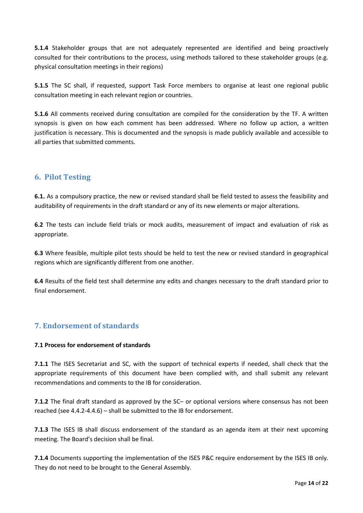**5.1.4** Stakeholder groups that are not adequately represented are identified and being proactively consulted for their contributions to the process, using methods tailored to these stakeholder groups (e.g. physical consultation meetings in their regions)

**5.1.5** The SC shall, if requested, support Task Force members to organise at least one regional public consultation meeting in each relevant region or countries.

**5.1.6** All comments received during consultation are compiled for the consideration by the TF. A written synopsis is given on how each comment has been addressed. Where no follow up action, a written justification is necessary. This is documented and the synopsis is made publicly available and accessible to all parties that submitted comments.

# <span id="page-13-0"></span>**6. Pilot Testing**

**6.1.** As a compulsory practice, the new or revised standard shall be field tested to assess the feasibility and auditability of requirements in the draft standard or any of its new elements or major alterations.

**6.2** The tests can include field trials or mock audits, measurement of impact and evaluation of risk as appropriate.

**6.3** Where feasible, multiple pilot tests should be held to test the new or revised standard in geographical regions which are significantly different from one another.

**6.4** Results of the field test shall determine any edits and changes necessary to the draft standard prior to final endorsement.

# <span id="page-13-1"></span>**7. Endorsement of standards**

#### **7.1 Process for endorsement of standards**

**7.1.1** The ISES Secretariat and SC, with the support of technical experts if needed, shall check that the appropriate requirements of this document have been complied with, and shall submit any relevant recommendations and comments to the IB for consideration.

**7.1.2** The final draft standard as approved by the SC– or optional versions where consensus has not been reached (see 4.4.2-4.4.6) – shall be submitted to the IB for endorsement.

**7.1.3** The ISES IB shall discuss endorsement of the standard as an agenda item at their next upcoming meeting. The Board's decision shall be final.

**7.1.4** Documents supporting the implementation of the ISES P&C require endorsement by the ISES IB only. They do not need to be brought to the General Assembly.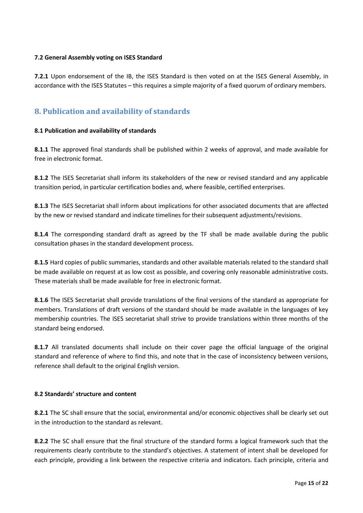#### **7.2 General Assembly voting on ISES Standard**

**7.2.1** Upon endorsement of the IB, the ISES Standard is then voted on at the ISES General Assembly, in accordance with the ISES Statutes – this requires a simple majority of a fixed quorum of ordinary members.

# <span id="page-14-0"></span>**8. Publication and availability of standards**

#### **8.1 Publication and availability of standards**

**8.1.1** The approved final standards shall be published within 2 weeks of approval, and made available for free in electronic format.

**8.1.2** The ISES Secretariat shall inform its stakeholders of the new or revised standard and any applicable transition period, in particular certification bodies and, where feasible, certified enterprises.

**8.1.3** The ISES Secretariat shall inform about implications for other associated documents that are affected by the new or revised standard and indicate timelines for their subsequent adjustments/revisions.

**8.1.4** The corresponding standard draft as agreed by the TF shall be made available during the public consultation phases in the standard development process.

**8.1.5** Hard copies of public summaries, standards and other available materials related to the standard shall be made available on request at as low cost as possible, and covering only reasonable administrative costs. These materials shall be made available for free in electronic format.

**8.1.6** The ISES Secretariat shall provide translations of the final versions of the standard as appropriate for members. Translations of draft versions of the standard should be made available in the languages of key membership countries. The ISES secretariat shall strive to provide translations within three months of the standard being endorsed.

**8.1.7** All translated documents shall include on their cover page the official language of the original standard and reference of where to find this, and note that in the case of inconsistency between versions, reference shall default to the original English version.

#### **8.2 Standards' structure and content**

**8.2.1** The SC shall ensure that the social, environmental and/or economic objectives shall be clearly set out in the introduction to the standard as relevant.

**8.2.2** The SC shall ensure that the final structure of the standard forms a logical framework such that the requirements clearly contribute to the standard's objectives. A statement of intent shall be developed for each principle, providing a link between the respective criteria and indicators. Each principle, criteria and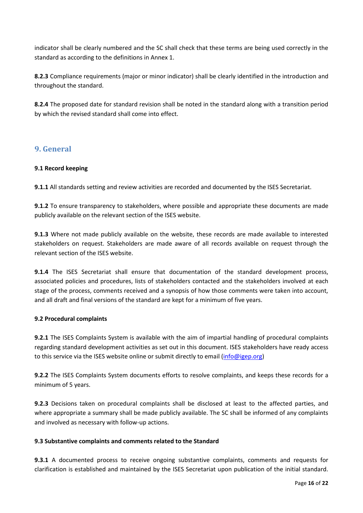indicator shall be clearly numbered and the SC shall check that these terms are being used correctly in the standard as according to the definitions in Annex 1.

**8.2.3** Compliance requirements (major or minor indicator) shall be clearly identified in the introduction and throughout the standard.

**8.2.4** The proposed date for standard revision shall be noted in the standard along with a transition period by which the revised standard shall come into effect.

### <span id="page-15-0"></span>**9. General**

#### **9.1 Record keeping**

**9.1.1** All standards setting and review activities are recorded and documented by the ISES Secretariat.

**9.1.2** To ensure transparency to stakeholders, where possible and appropriate these documents are made publicly available on the relevant section of the ISES website.

**9.1.3** Where not made publicly available on the website, these records are made available to interested stakeholders on request. Stakeholders are made aware of all records available on request through the relevant section of the ISES website.

**9.1.4** The ISES Secretariat shall ensure that documentation of the standard development process, associated policies and procedures, lists of stakeholders contacted and the stakeholders involved at each stage of the process, comments received and a synopsis of how those comments were taken into account, and all draft and final versions of the standard are kept for a minimum of five years.

#### **9.2 Procedural complaints**

**9.2.1** The ISES Complaints System is available with the aim of impartial handling of procedural complaints regarding standard development activities as set out in this document. ISES stakeholders have ready access to this service via the ISES website online or submit directly to email [\(info@igep.org\)](mailto:info@igep.org)

**9.2.2** The ISES Complaints System documents efforts to resolve complaints, and keeps these records for a minimum of 5 years.

**9.2.3** Decisions taken on procedural complaints shall be disclosed at least to the affected parties, and where appropriate a summary shall be made publicly available. The SC shall be informed of any complaints and involved as necessary with follow-up actions.

#### **9.3 Substantive complaints and comments related to the Standard**

**9.3.1** A documented process to receive ongoing substantive complaints, comments and requests for clarification is established and maintained by the ISES Secretariat upon publication of the initial standard.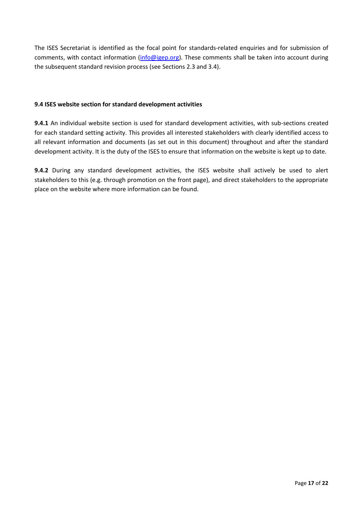The ISES Secretariat is identified as the focal point for standards-related enquiries and for submission of comments, with contact information [\(info@igep.org\)](mailto:info@igep.org). These comments shall be taken into account during the subsequent standard revision process (see Sections 2.3 and 3.4).

#### **9.4 ISES website section for standard development activities**

**9.4.1** An individual website section is used for standard development activities, with sub-sections created for each standard setting activity. This provides all interested stakeholders with clearly identified access to all relevant information and documents (as set out in this document) throughout and after the standard development activity. It is the duty of the ISES to ensure that information on the website is kept up to date.

**9.4.2** During any standard development activities, the ISES website shall actively be used to alert stakeholders to this (e.g. through promotion on the front page), and direct stakeholders to the appropriate place on the website where more information can be found.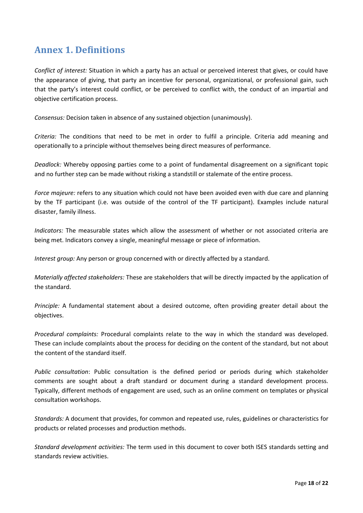# <span id="page-17-0"></span>**Annex 1. Definitions**

*Conflict of interest:* Situation in which a party has an actual or perceived interest that gives, or could have the appearance of giving, that party an incentive for personal, organizational, or professional gain, such that the party's interest could conflict, or be perceived to conflict with, the conduct of an impartial and objective certification process.

*Consensus:* Decision taken in absence of any sustained objection (unanimously).

*Criteria:* The conditions that need to be met in order to fulfil a principle. Criteria add meaning and operationally to a principle without themselves being direct measures of performance.

*Deadlock:* Whereby opposing parties come to a point of fundamental disagreement on a significant topic and no further step can be made without risking a standstill or stalemate of the entire process.

*Force majeure:* refers to any situation which could not have been avoided even with due care and planning by the TF participant (i.e. was outside of the control of the TF participant). Examples include natural disaster, family illness.

*Indicators:* The measurable states which allow the assessment of whether or not associated criteria are being met. Indicators convey a single, meaningful message or piece of information.

*Interest group:* Any person or group concerned with or directly affected by a standard.

*Materially affected stakeholders:* These are stakeholders that will be directly impacted by the application of the standard.

*Principle:* A fundamental statement about a desired outcome, often providing greater detail about the objectives.

*Procedural complaints:* Procedural complaints relate to the way in which the standard was developed. These can include complaints about the process for deciding on the content of the standard, but not about the content of the standard itself.

*Public consultation*: Public consultation is the defined period or periods during which stakeholder comments are sought about a draft standard or document during a standard development process. Typically, different methods of engagement are used, such as an online comment on templates or physical consultation workshops.

*Standards:* A document that provides, for common and repeated use, rules, guidelines or characteristics for products or related processes and production methods.

*Standard development activities:* The term used in this document to cover both ISES standards setting and standards review activities.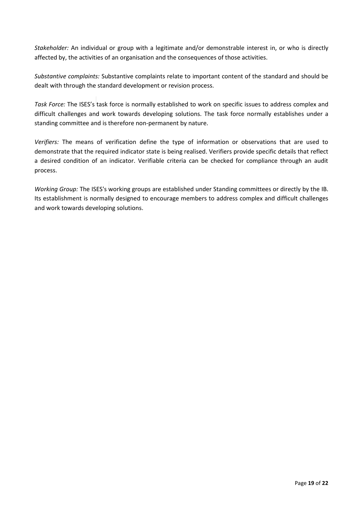*Stakeholder:* An individual or group with a legitimate and/or demonstrable interest in, or who is directly affected by, the activities of an organisation and the consequences of those activities.

*Substantive complaints:* Substantive complaints relate to important content of the standard and should be dealt with through the standard development or revision process.

*Task Force:* The ISES's task force is normally established to work on specific issues to address complex and difficult challenges and work towards developing solutions. The task force normally establishes under a standing committee and is therefore non-permanent by nature.

*Verifiers:* The means of verification define the type of information or observations that are used to demonstrate that the required indicator state is being realised. Verifiers provide specific details that reflect a desired condition of an indicator. Verifiable criteria can be checked for compliance through an audit process.

*Working Group:* The ISES's working groups are established under Standing committees or directly by the IB. Its establishment is normally designed to encourage members to address complex and difficult challenges and work towards developing solutions.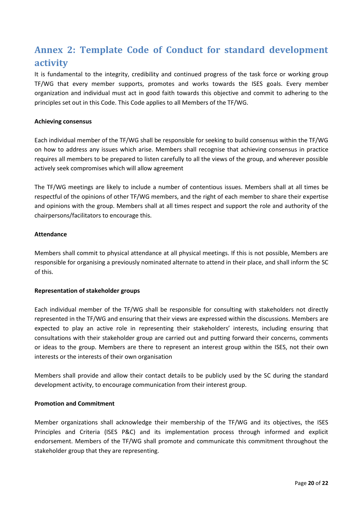# <span id="page-19-0"></span>**Annex 2: Template Code of Conduct for standard development activity**

It is fundamental to the integrity, credibility and continued progress of the task force or working group TF/WG that every member supports, promotes and works towards the ISES goals. Every member organization and individual must act in good faith towards this objective and commit to adhering to the principles set out in this Code. This Code applies to all Members of the TF/WG.

#### **Achieving consensus**

Each individual member of the TF/WG shall be responsible for seeking to build consensus within the TF/WG on how to address any issues which arise. Members shall recognise that achieving consensus in practice requires all members to be prepared to listen carefully to all the views of the group, and wherever possible actively seek compromises which will allow agreement

The TF/WG meetings are likely to include a number of contentious issues. Members shall at all times be respectful of the opinions of other TF/WG members, and the right of each member to share their expertise and opinions with the group. Members shall at all times respect and support the role and authority of the chairpersons/facilitators to encourage this.

#### **Attendance**

Members shall commit to physical attendance at all physical meetings. If this is not possible, Members are responsible for organising a previously nominated alternate to attend in their place, and shall inform the SC of this.

#### **Representation of stakeholder groups**

Each individual member of the TF/WG shall be responsible for consulting with stakeholders not directly represented in the TF/WG and ensuring that their views are expressed within the discussions. Members are expected to play an active role in representing their stakeholders' interests, including ensuring that consultations with their stakeholder group are carried out and putting forward their concerns, comments or ideas to the group. Members are there to represent an interest group within the ISES, not their own interests or the interests of their own organisation

Members shall provide and allow their contact details to be publicly used by the SC during the standard development activity, to encourage communication from their interest group.

#### **Promotion and Commitment**

Member organizations shall acknowledge their membership of the TF/WG and its objectives, the ISES Principles and Criteria (ISES P&C) and its implementation process through informed and explicit endorsement. Members of the TF/WG shall promote and communicate this commitment throughout the stakeholder group that they are representing.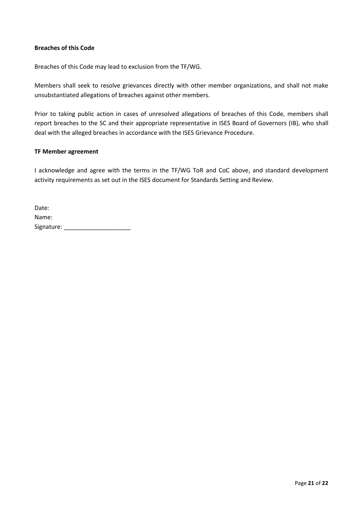#### **Breaches of this Code**

Breaches of this Code may lead to exclusion from the TF/WG.

Members shall seek to resolve grievances directly with other member organizations, and shall not make unsubstantiated allegations of breaches against other members.

Prior to taking public action in cases of unresolved allegations of breaches of this Code, members shall report breaches to the SC and their appropriate representative in ISES Board of Governors (IB), who shall deal with the alleged breaches in accordance with the ISES Grievance Procedure.

#### **TF Member agreement**

I acknowledge and agree with the terms in the TF/WG ToR and CoC above, and standard development activity requirements as set out in the ISES document for Standards Setting and Review.

| Date:      |  |
|------------|--|
| Name:      |  |
| Signature: |  |